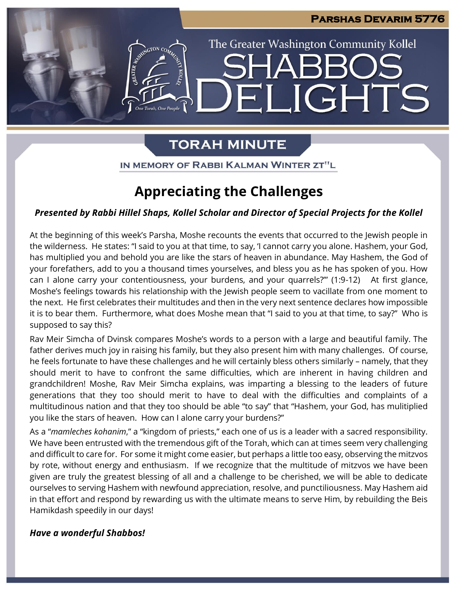IGHTS

The Greater Washington Community Kollel

# **TORAH MINUTE**

IN MEMORY OF RABBI KALMAN WINTER ZT"L

# **Appreciating the Challenges**

## *Presented by Rabbi Hillel Shaps, Kollel Scholar and Director of Special Projects for the Kollel*

At the beginning of this week's Parsha, Moshe recounts the events that occurred to the Jewish people in the wilderness. He states: "I said to you at that time, to say, 'I cannot carry you alone. Hashem, your God, has multiplied you and behold you are like the stars of heaven in abundance. May Hashem, the God of your forefathers, add to you a thousand times yourselves, and bless you as he has spoken of you. How can I alone carry your contentiousness, your burdens, and your quarrels?'" (1:9-12) At first glance, Moshe's feelings towards his relationship with the Jewish people seem to vacillate from one moment to the next. He first celebrates their multitudes and then in the very next sentence declares how impossible it is to bear them. Furthermore, what does Moshe mean that "I said to you at that time, to say?" Who is supposed to say this?

Rav Meir Simcha of Dvinsk compares Moshe's words to a person with a large and beautiful family. The father derives much joy in raising his family, but they also present him with many challenges. Of course, he feels fortunate to have these challenges and he will certainly bless others similarly – namely, that they should merit to have to confront the same difficulties, which are inherent in having children and grandchildren! Moshe, Rav Meir Simcha explains, was imparting a blessing to the leaders of future generations that they too should merit to have to deal with the difficulties and complaints of a multitudinous nation and that they too should be able "to say" that "Hashem, your God, has mulitiplied you like the stars of heaven. How can I alone carry your burdens?"

As a "*mamleches kohanim*," a "kingdom of priests," each one of us is a leader with a sacred responsibility. We have been entrusted with the tremendous gift of the Torah, which can at times seem very challenging and difficult to care for. For some it might come easier, but perhaps a little too easy, observing the mitzvos by rote, without energy and enthusiasm. If we recognize that the multitude of mitzvos we have been given are truly the greatest blessing of all and a challenge to be cherished, we will be able to dedicate ourselves to serving Hashem with newfound appreciation, resolve, and punctiliousness. May Hashem aid in that effort and respond by rewarding us with the ultimate means to serve Him, by rebuilding the Beis Hamikdash speedily in our days!

## *Have a wonderful Shabbos!*